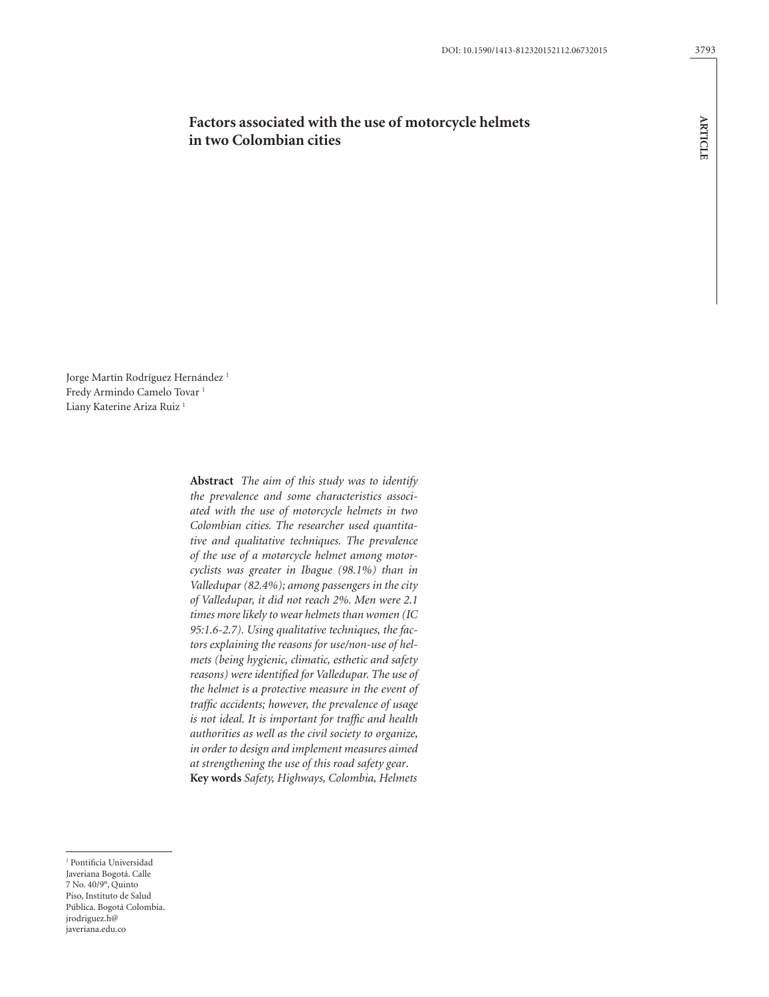# **Factors associated with the use of motorcycle helmets in two Colombian cities**

Jorge Martín Rodríguez Hernández<sup>1</sup> Fredy Armindo Camelo Tovar 1 Liany Katerine Ariza Ruiz 1

> **Abstract** *The aim of this study was to identify the prevalence and some characteristics associated with the use of motorcycle helmets in two Colombian cities. The researcher used quantitative and qualitative techniques. The prevalence of the use of a motorcycle helmet among motorcyclists was greater in Ibague (98.1%) than in Valledupar (82.4%); among passengers in the city of Valledupar, it did not reach 2%. Men were 2.1 times more likely to wear helmets than women (IC 95:1.6-2.7). Using qualitative techniques, the factors explaining the reasons for use/non-use of helmets (being hygienic, climatic, esthetic and safety reasons) were identified for Valledupar. The use of the helmet is a protective measure in the event of traffic accidents; however, the prevalence of usage is not ideal. It is important for traffic and health authorities as well as the civil society to organize, in order to design and implement measures aimed at strengthening the use of this road safety gear*. **Key words** *Safety, Highways, Colombia, Helmets*

1 Pontificia Universidad Javeriana Bogotá. Calle 7 No. 40/9°, Quinto Piso, Instituto de Salud Pública. Bogotá Colombia. jrodriguez.h@ javeriana.edu.co

**ARTICLE**

**ARTICLE**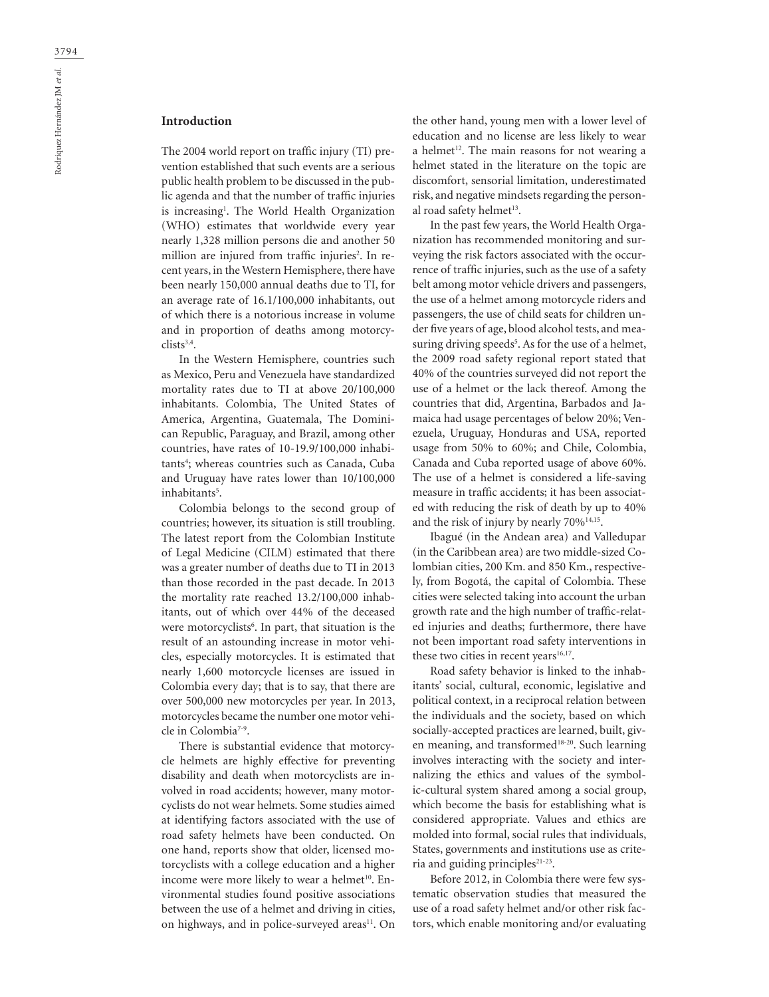# **Introduction**

The 2004 world report on traffic injury (TI) prevention established that such events are a serious public health problem to be discussed in the public agenda and that the number of traffic injuries is increasing<sup>1</sup>. The World Health Organization (WHO) estimates that worldwide every year nearly 1,328 million persons die and another 50 million are injured from traffic injuries<sup>2</sup>. In recent years, in the Western Hemisphere, there have been nearly 150,000 annual deaths due to TI, for an average rate of 16.1/100,000 inhabitants, out of which there is a notorious increase in volume and in proportion of deaths among motorcy- $\text{clists}^{3,4}$ 

In the Western Hemisphere, countries such as Mexico, Peru and Venezuela have standardized mortality rates due to TI at above 20/100,000 inhabitants. Colombia, The United States of America, Argentina, Guatemala, The Dominican Republic, Paraguay, and Brazil, among other countries, have rates of 10-19.9/100,000 inhabitants<sup>4</sup>; whereas countries such as Canada, Cuba and Uruguay have rates lower than 10/100,000 inhabitants<sup>5</sup>.

Colombia belongs to the second group of countries; however, its situation is still troubling. The latest report from the Colombian Institute of Legal Medicine (CILM) estimated that there was a greater number of deaths due to TI in 2013 than those recorded in the past decade. In 2013 the mortality rate reached 13.2/100,000 inhabitants, out of which over 44% of the deceased were motorcyclists<sup>6</sup>. In part, that situation is the result of an astounding increase in motor vehicles, especially motorcycles. It is estimated that nearly 1,600 motorcycle licenses are issued in Colombia every day; that is to say, that there are over 500,000 new motorcycles per year. In 2013, motorcycles became the number one motor vehicle in Colombia7-9.

There is substantial evidence that motorcycle helmets are highly effective for preventing disability and death when motorcyclists are involved in road accidents; however, many motorcyclists do not wear helmets. Some studies aimed at identifying factors associated with the use of road safety helmets have been conducted. On one hand, reports show that older, licensed motorcyclists with a college education and a higher income were more likely to wear a helmet<sup>10</sup>. Environmental studies found positive associations between the use of a helmet and driving in cities, on highways, and in police-surveyed areas<sup>11</sup>. On

the other hand, young men with a lower level of education and no license are less likely to wear a helmet<sup>12</sup>. The main reasons for not wearing a helmet stated in the literature on the topic are discomfort, sensorial limitation, underestimated risk, and negative mindsets regarding the personal road safety helmet<sup>13</sup>.

In the past few years, the World Health Organization has recommended monitoring and surveying the risk factors associated with the occurrence of traffic injuries, such as the use of a safety belt among motor vehicle drivers and passengers, the use of a helmet among motorcycle riders and passengers, the use of child seats for children under five years of age, blood alcohol tests, and measuring driving speeds<sup>5</sup>. As for the use of a helmet, the 2009 road safety regional report stated that 40% of the countries surveyed did not report the use of a helmet or the lack thereof. Among the countries that did, Argentina, Barbados and Jamaica had usage percentages of below 20%; Venezuela, Uruguay, Honduras and USA, reported usage from 50% to 60%; and Chile, Colombia, Canada and Cuba reported usage of above 60%. The use of a helmet is considered a life-saving measure in traffic accidents; it has been associated with reducing the risk of death by up to 40% and the risk of injury by nearly 70%<sup>14,15</sup>.

Ibagué (in the Andean area) and Valledupar (in the Caribbean area) are two middle-sized Colombian cities, 200 Km. and 850 Km., respectively, from Bogotá, the capital of Colombia. These cities were selected taking into account the urban growth rate and the high number of traffic-related injuries and deaths; furthermore, there have not been important road safety interventions in these two cities in recent years<sup>16,17</sup>.

Road safety behavior is linked to the inhabitants' social, cultural, economic, legislative and political context, in a reciprocal relation between the individuals and the society, based on which socially-accepted practices are learned, built, given meaning, and transformed<sup>18-20</sup>. Such learning involves interacting with the society and internalizing the ethics and values of the symbolic-cultural system shared among a social group, which become the basis for establishing what is considered appropriate. Values and ethics are molded into formal, social rules that individuals, States, governments and institutions use as criteria and guiding principles<sup>21-23</sup>.

Before 2012, in Colombia there were few systematic observation studies that measured the use of a road safety helmet and/or other risk factors, which enable monitoring and/or evaluating

3794 Rodríquez Hernández JM et al. Rodríquez Hernández JM *et al.*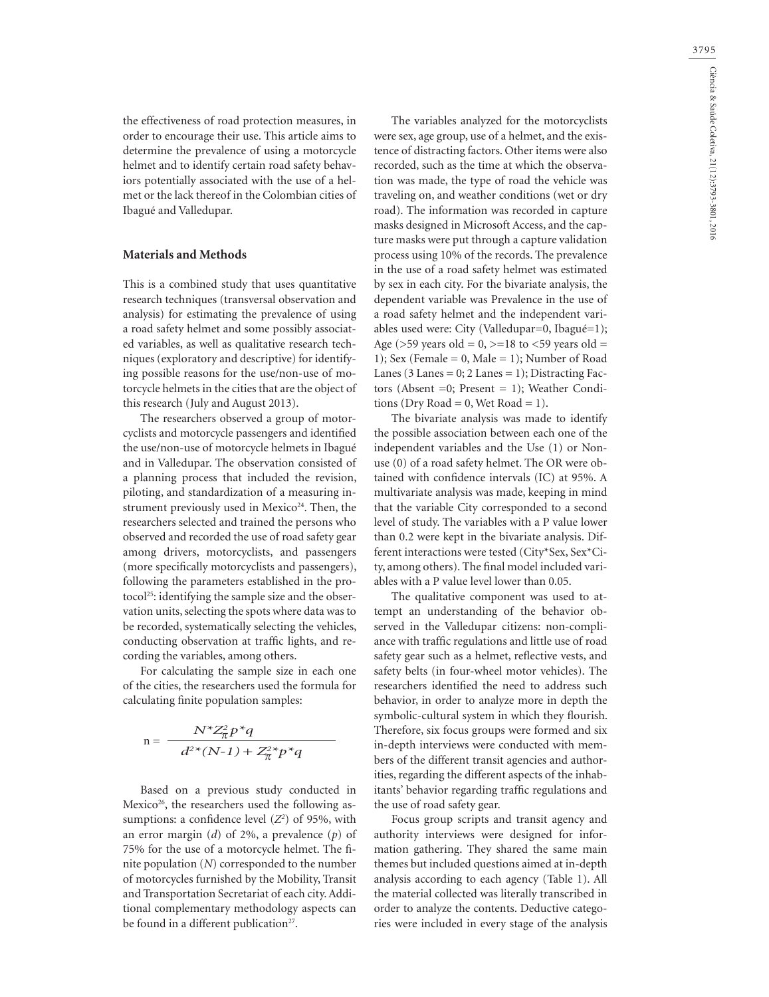the effectiveness of road protection measures, in order to encourage their use. This article aims to determine the prevalence of using a motorcycle helmet and to identify certain road safety behaviors potentially associated with the use of a helmet or the lack thereof in the Colombian cities of Ibagué and Valledupar.

# **Materials and Methods**

This is a combined study that uses quantitative research techniques (transversal observation and analysis) for estimating the prevalence of using a road safety helmet and some possibly associated variables, as well as qualitative research techniques (exploratory and descriptive) for identifying possible reasons for the use/non-use of motorcycle helmets in the cities that are the object of this research (July and August 2013).

The researchers observed a group of motorcyclists and motorcycle passengers and identified the use/non-use of motorcycle helmets in Ibagué and in Valledupar. The observation consisted of a planning process that included the revision, piloting, and standardization of a measuring instrument previously used in Mexico<sup>24</sup>. Then, the researchers selected and trained the persons who observed and recorded the use of road safety gear among drivers, motorcyclists, and passengers (more specifically motorcyclists and passengers), following the parameters established in the protocol25: identifying the sample size and the observation units, selecting the spots where data was to be recorded, systematically selecting the vehicles, conducting observation at traffic lights, and recording the variables, among others.

For calculating the sample size in each one of the cities, the researchers used the formula for calculating finite population samples:

$$
n = \frac{N^{\ast}Z_{\pi}^{2}p^{\ast}q}{d^{2\ast}(N-1) + Z_{\pi}^{2\ast}p^{\ast}q}
$$

Based on a previous study conducted in Mexico<sup>26</sup>, the researchers used the following assumptions: a confidence level  $(Z^2)$  of 95%, with an error margin (*d*) of 2%, a prevalence (*p*) of 75% for the use of a motorcycle helmet. The finite population (*N*) corresponded to the number of motorcycles furnished by the Mobility, Transit and Transportation Secretariat of each city. Additional complementary methodology aspects can be found in a different publication<sup>27</sup>.

The variables analyzed for the motorcyclists were sex, age group, use of a helmet, and the existence of distracting factors. Other items were also recorded, such as the time at which the observation was made, the type of road the vehicle was traveling on, and weather conditions (wet or dry road). The information was recorded in capture masks designed in Microsoft Access, and the capture masks were put through a capture validation process using 10% of the records. The prevalence in the use of a road safety helmet was estimated by sex in each city. For the bivariate analysis, the dependent variable was Prevalence in the use of a road safety helmet and the independent variables used were: City (Valledupar=0, Ibagué=1); Age ( $>59$  years old = 0,  $>=18$  to  $<59$  years old = 1); Sex (Female =  $0$ , Male = 1); Number of Road Lanes (3 Lanes =  $0$ ; 2 Lanes = 1); Distracting Factors (Absent =0; Present = 1); Weather Conditions (Dry Road = 0, Wet Road = 1).

The bivariate analysis was made to identify the possible association between each one of the independent variables and the Use (1) or Nonuse (0) of a road safety helmet. The OR were obtained with confidence intervals (IC) at 95%. A multivariate analysis was made, keeping in mind that the variable City corresponded to a second level of study. The variables with a P value lower than 0.2 were kept in the bivariate analysis. Different interactions were tested (City\*Sex, Sex\*City, among others). The final model included variables with a P value level lower than 0.05.

The qualitative component was used to attempt an understanding of the behavior observed in the Valledupar citizens: non-compliance with traffic regulations and little use of road safety gear such as a helmet, reflective vests, and safety belts (in four-wheel motor vehicles). The researchers identified the need to address such behavior, in order to analyze more in depth the symbolic-cultural system in which they flourish. Therefore, six focus groups were formed and six in-depth interviews were conducted with members of the different transit agencies and authorities, regarding the different aspects of the inhabitants' behavior regarding traffic regulations and the use of road safety gear.

Focus group scripts and transit agency and authority interviews were designed for information gathering. They shared the same main themes but included questions aimed at in-depth analysis according to each agency (Table 1). All the material collected was literally transcribed in order to analyze the contents. Deductive categories were included in every stage of the analysis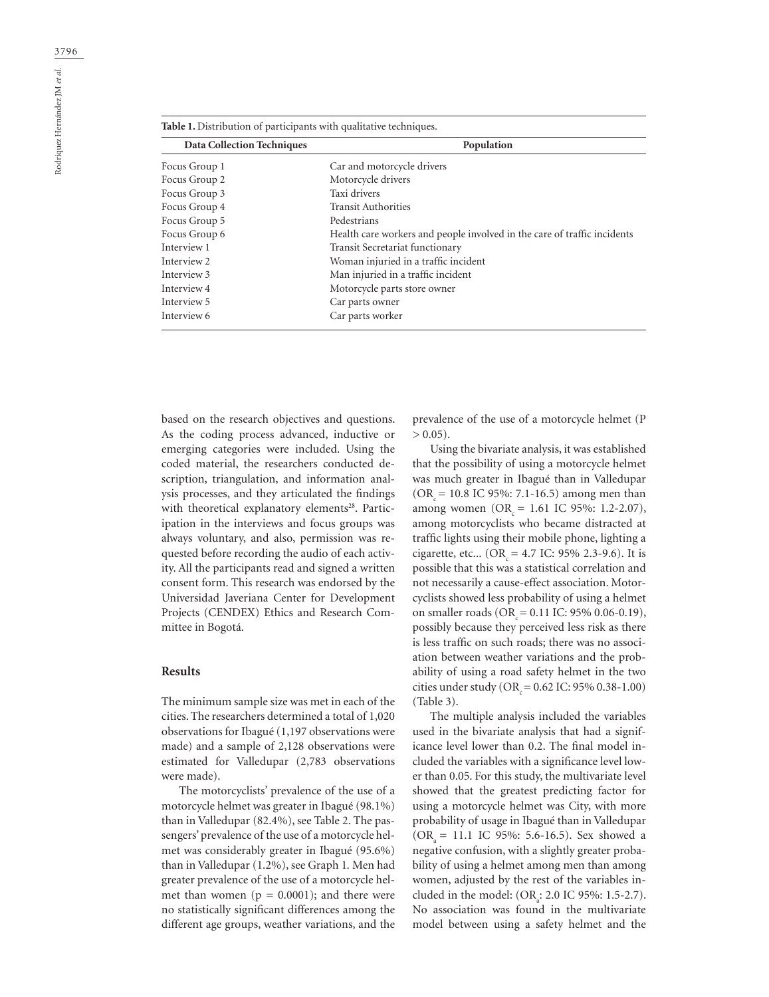| Data Collection Techniques | Population                                                               |  |  |  |  |
|----------------------------|--------------------------------------------------------------------------|--|--|--|--|
| Focus Group 1              | Car and motorcycle drivers                                               |  |  |  |  |
| Focus Group 2              | Motorcycle drivers                                                       |  |  |  |  |
| Focus Group 3              | Taxi drivers                                                             |  |  |  |  |
| Focus Group 4              | <b>Transit Authorities</b>                                               |  |  |  |  |
| Focus Group 5              | Pedestrians                                                              |  |  |  |  |
| Focus Group 6              | Health care workers and people involved in the care of traffic incidents |  |  |  |  |
| Interview 1                | Transit Secretariat functionary                                          |  |  |  |  |
| Interview 2                | Woman injuried in a traffic incident                                     |  |  |  |  |
| Interview 3                | Man injuried in a traffic incident                                       |  |  |  |  |
| Interview 4                | Motorcycle parts store owner                                             |  |  |  |  |
| Interview 5                | Car parts owner                                                          |  |  |  |  |
| Interview 6                | Car parts worker                                                         |  |  |  |  |

based on the research objectives and questions. As the coding process advanced, inductive or emerging categories were included. Using the coded material, the researchers conducted description, triangulation, and information analysis processes, and they articulated the findings with theoretical explanatory elements<sup>28</sup>. Participation in the interviews and focus groups was always voluntary, and also, permission was requested before recording the audio of each activity. All the participants read and signed a written consent form. This research was endorsed by the Universidad Javeriana Center for Development Projects (CENDEX) Ethics and Research Committee in Bogotá.

## **Results**

The minimum sample size was met in each of the cities. The researchers determined a total of 1,020 observations for Ibagué (1,197 observations were made) and a sample of 2,128 observations were estimated for Valledupar (2,783 observations were made).

The motorcyclists' prevalence of the use of a motorcycle helmet was greater in Ibagué (98.1%) than in Valledupar (82.4%), see Table 2. The passengers' prevalence of the use of a motorcycle helmet was considerably greater in Ibagué (95.6%) than in Valledupar (1.2%), see Graph 1*.* Men had greater prevalence of the use of a motorcycle helmet than women ( $p = 0.0001$ ); and there were no statistically significant differences among the different age groups, weather variations, and the

prevalence of the use of a motorcycle helmet (P  $> 0.05$ ).

Using the bivariate analysis, it was established that the possibility of using a motorcycle helmet was much greater in Ibagué than in Valledupar  $(OR = 10.8$  IC 95%: 7.1-16.5) among men than among women (OR = 1.61 IC 95%: 1.2-2.07), among motorcyclists who became distracted at traffic lights using their mobile phone, lighting a cigarette, etc... (OR = 4.7 IC:  $95\%$  2.3-9.6). It is possible that this was a statistical correlation and not necessarily a cause-effect association. Motorcyclists showed less probability of using a helmet on smaller roads (OR =  $0.11$  IC: 95% 0.06-0.19), possibly because they perceived less risk as there is less traffic on such roads; there was no association between weather variations and the probability of using a road safety helmet in the two cities under study (OR =  $0.62$  IC:  $95\%$  0.38-1.00) (Table 3).

The multiple analysis included the variables used in the bivariate analysis that had a significance level lower than 0.2. The final model included the variables with a significance level lower than 0.05. For this study, the multivariate level showed that the greatest predicting factor for using a motorcycle helmet was City, with more probability of usage in Ibagué than in Valledupar  $(OR<sub>s</sub> = 11.1$  IC 95%: 5.6-16.5). Sex showed a negative confusion, with a slightly greater probability of using a helmet among men than among women, adjusted by the rest of the variables included in the model:  $(OR<sub>a</sub>: 2.0 IC 95%: 1.5-2.7).$ No association was found in the multivariate model between using a safety helmet and the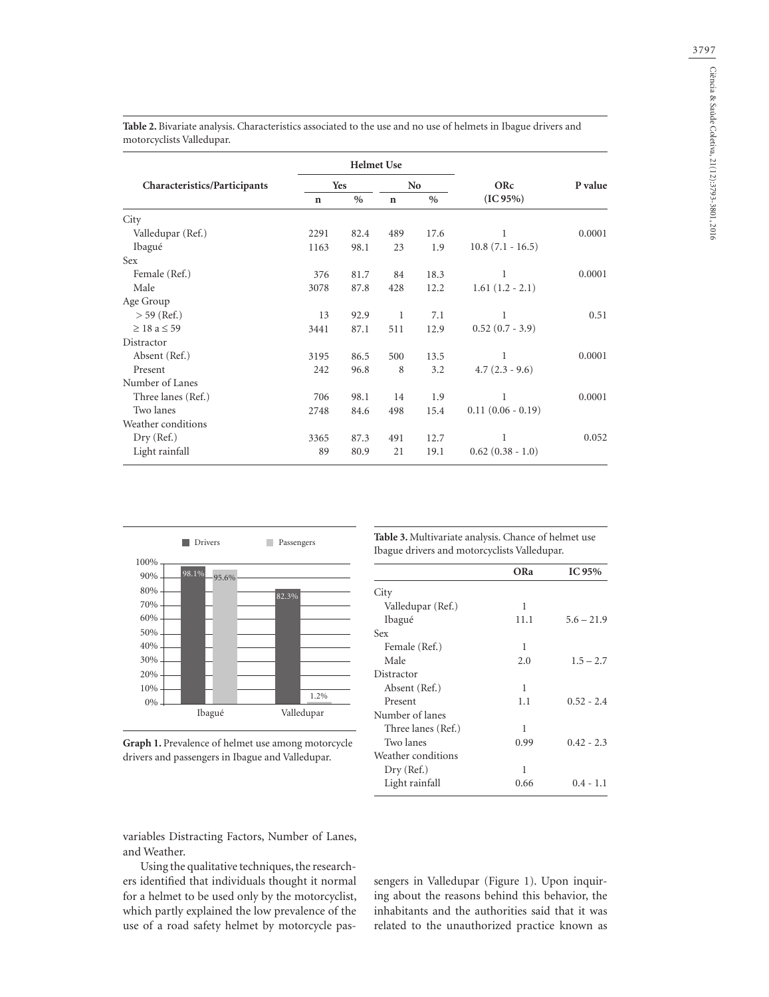| Characteristics/Participants | <b>Helmet Use</b> |      |             |      |                       |         |
|------------------------------|-------------------|------|-------------|------|-----------------------|---------|
|                              | <b>Yes</b>        |      | No.         |      | <b>ORc</b>            | P value |
|                              | $\mathbf n$       | $\%$ | $\mathbf n$ | $\%$ | (IC 95%)              |         |
| City                         |                   |      |             |      |                       |         |
| Valledupar (Ref.)            | 2291              | 82.4 | 489         | 17.6 | 1                     | 0.0001  |
| Ibagué                       | 1163              | 98.1 | 23          | 1.9  | $10.8(7.1 - 16.5)$    |         |
| Sex                          |                   |      |             |      |                       |         |
| Female (Ref.)                | 376               | 81.7 | 84          | 18.3 | 1                     | 0.0001  |
| Male                         | 3078              | 87.8 | 428         | 12.2 | $1.61(1.2 - 2.1)$     |         |
| Age Group                    |                   |      |             |      |                       |         |
| $> 59$ (Ref.)                | 13                | 92.9 | 1           | 7.1  | 1                     | 0.51    |
| $\geq 18$ a $\leq 59$        | 3441              | 87.1 | 511         | 12.9 | $0.52(0.7 - 3.9)$     |         |
| Distractor                   |                   |      |             |      |                       |         |
| Absent (Ref.)                | 3195              | 86.5 | 500         | 13.5 |                       | 0.0001  |
| Present                      | 242               | 96.8 | 8           | 3.2  | $4.7(2.3 - 9.6)$      |         |
| Number of Lanes              |                   |      |             |      |                       |         |
| Three lanes (Ref.)           | 706               | 98.1 | 14          | 1.9  | 1                     | 0.0001  |
| Two lanes                    | 2748              | 84.6 | 498         | 15.4 | $0.11(0.06 - 0.19)$   |         |
| Weather conditions           |                   |      |             |      |                       |         |
| $Dry$ (Ref.)                 | 3365              | 87.3 | 491         | 12.7 | 1                     | 0.052   |
| Light rainfall               | 89                | 80.9 | 21          | 19.1 | $0.62$ $(0.38 - 1.0)$ |         |

**Table 2.** Bivariate analysis. Characteristics associated to the use and no use of helmets in Ibague drivers and motorcyclists Valledupar.





**Table 3.** Multivariate analysis. Chance of helmet use Ibague drivers and motorcyclists Valledupar.

|                    | ORa  | IC 95%       |
|--------------------|------|--------------|
| City               |      |              |
| Valledupar (Ref.)  | 1    |              |
| Ibagué             | 11.1 | $5.6 - 21.9$ |
| Sex                |      |              |
| Female (Ref.)      | 1    |              |
| Male               | 2.0  | $1.5 - 2.7$  |
| Distractor         |      |              |
| Absent (Ref.)      | 1    |              |
| Present            | 1.1  | $0.52 - 2.4$ |
| Number of lanes    |      |              |
| Three lanes (Ref.) | 1    |              |
| Two lanes          | 0.99 | $0.42 - 2.3$ |
| Weather conditions |      |              |
| Dry (Ref.)         | 1    |              |
| Light rainfall     | 0.66 | $0.4 - 1.1$  |

variables Distracting Factors, Number of Lanes, and Weather.

Using the qualitative techniques, the researchers identified that individuals thought it normal for a helmet to be used only by the motorcyclist, which partly explained the low prevalence of the use of a road safety helmet by motorcycle pas-

sengers in Valledupar (Figure 1). Upon inquiring about the reasons behind this behavior, the inhabitants and the authorities said that it was related to the unauthorized practice known as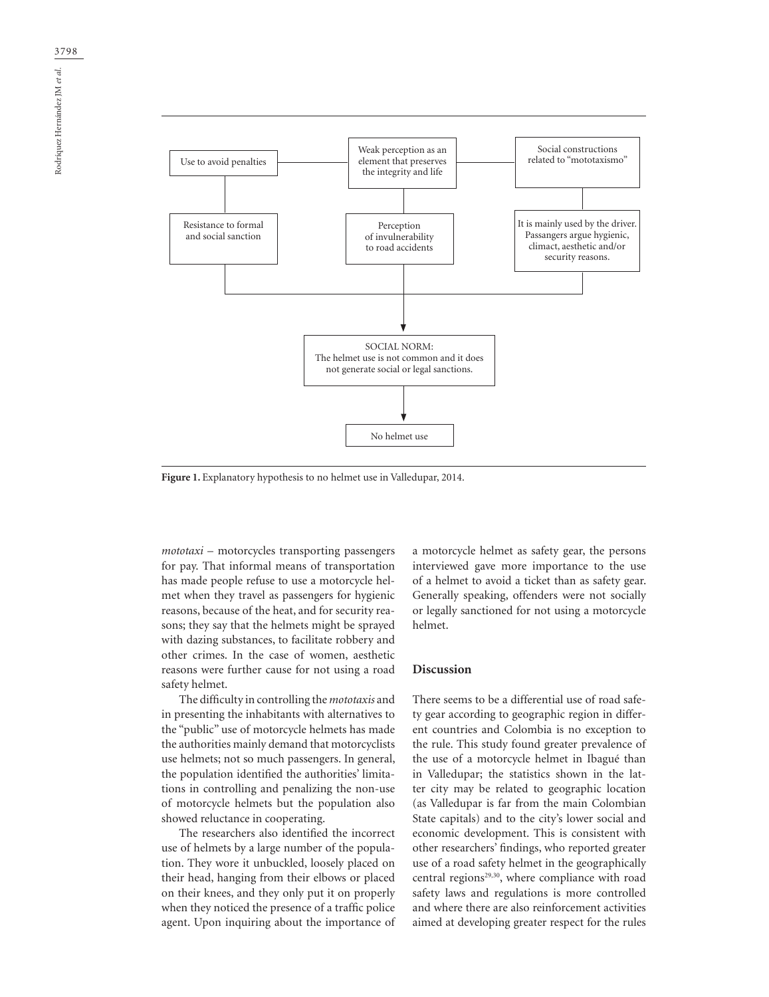



**Figure 1.** Explanatory hypothesis to no helmet use in Valledupar, 2014.

*mototaxi* – motorcycles transporting passengers for pay. That informal means of transportation has made people refuse to use a motorcycle helmet when they travel as passengers for hygienic reasons, because of the heat, and for security reasons; they say that the helmets might be sprayed with dazing substances, to facilitate robbery and other crimes. In the case of women, aesthetic reasons were further cause for not using a road safety helmet.

The difficulty in controlling the *mototaxis* and in presenting the inhabitants with alternatives to the "public" use of motorcycle helmets has made the authorities mainly demand that motorcyclists use helmets; not so much passengers. In general, the population identified the authorities' limitations in controlling and penalizing the non-use of motorcycle helmets but the population also showed reluctance in cooperating.

The researchers also identified the incorrect use of helmets by a large number of the population. They wore it unbuckled, loosely placed on their head, hanging from their elbows or placed on their knees, and they only put it on properly when they noticed the presence of a traffic police agent. Upon inquiring about the importance of

a motorcycle helmet as safety gear, the persons interviewed gave more importance to the use of a helmet to avoid a ticket than as safety gear. Generally speaking, offenders were not socially or legally sanctioned for not using a motorcycle helmet.

#### **Discussion**

There seems to be a differential use of road safety gear according to geographic region in different countries and Colombia is no exception to the rule. This study found greater prevalence of the use of a motorcycle helmet in Ibagué than in Valledupar; the statistics shown in the latter city may be related to geographic location (as Valledupar is far from the main Colombian State capitals) and to the city's lower social and economic development. This is consistent with other researchers' findings, who reported greater use of a road safety helmet in the geographically central regions<sup>29,30</sup>, where compliance with road safety laws and regulations is more controlled and where there are also reinforcement activities aimed at developing greater respect for the rules

3798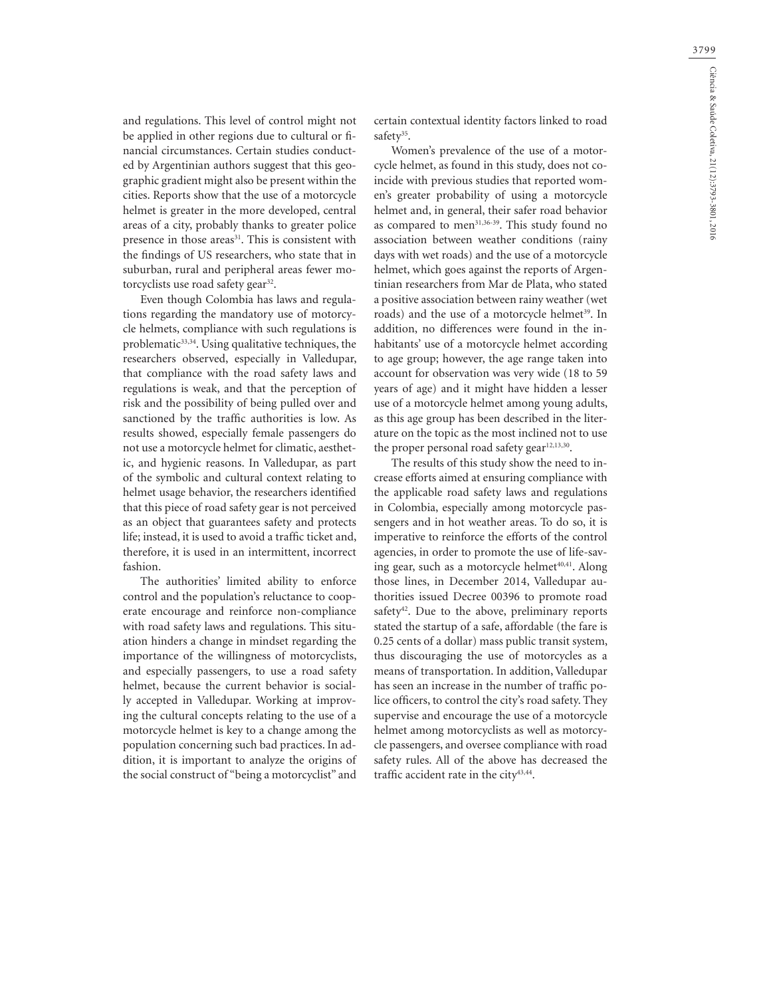and regulations. This level of control might not be applied in other regions due to cultural or financial circumstances. Certain studies conducted by Argentinian authors suggest that this geographic gradient might also be present within the cities. Reports show that the use of a motorcycle helmet is greater in the more developed, central areas of a city, probably thanks to greater police presence in those areas<sup>31</sup>. This is consistent with the findings of US researchers, who state that in suburban, rural and peripheral areas fewer motorcyclists use road safety gear<sup>32</sup>.

Even though Colombia has laws and regulations regarding the mandatory use of motorcycle helmets, compliance with such regulations is problematic $33,34$ . Using qualitative techniques, the researchers observed, especially in Valledupar, that compliance with the road safety laws and regulations is weak, and that the perception of risk and the possibility of being pulled over and sanctioned by the traffic authorities is low. As results showed, especially female passengers do not use a motorcycle helmet for climatic, aesthetic, and hygienic reasons. In Valledupar, as part of the symbolic and cultural context relating to helmet usage behavior, the researchers identified that this piece of road safety gear is not perceived as an object that guarantees safety and protects life; instead, it is used to avoid a traffic ticket and, therefore, it is used in an intermittent, incorrect fashion.

The authorities' limited ability to enforce control and the population's reluctance to cooperate encourage and reinforce non-compliance with road safety laws and regulations. This situation hinders a change in mindset regarding the importance of the willingness of motorcyclists, and especially passengers, to use a road safety helmet, because the current behavior is socially accepted in Valledupar. Working at improving the cultural concepts relating to the use of a motorcycle helmet is key to a change among the population concerning such bad practices. In addition, it is important to analyze the origins of the social construct of "being a motorcyclist" and certain contextual identity factors linked to road safety<sup>35</sup>.

Women's prevalence of the use of a motorcycle helmet, as found in this study, does not coincide with previous studies that reported women's greater probability of using a motorcycle helmet and, in general, their safer road behavior as compared to men<sup>31,36-39</sup>. This study found no association between weather conditions (rainy days with wet roads) and the use of a motorcycle helmet, which goes against the reports of Argentinian researchers from Mar de Plata, who stated a positive association between rainy weather (wet roads) and the use of a motorcycle helmet<sup>39</sup>. In addition, no differences were found in the inhabitants' use of a motorcycle helmet according to age group; however, the age range taken into account for observation was very wide (18 to 59 years of age) and it might have hidden a lesser use of a motorcycle helmet among young adults, as this age group has been described in the literature on the topic as the most inclined not to use the proper personal road safety gear $12,13,30$ .

The results of this study show the need to increase efforts aimed at ensuring compliance with the applicable road safety laws and regulations in Colombia, especially among motorcycle passengers and in hot weather areas. To do so, it is imperative to reinforce the efforts of the control agencies, in order to promote the use of life-saving gear, such as a motorcycle helmet<sup>40,41</sup>. Along those lines, in December 2014, Valledupar authorities issued Decree 00396 to promote road safety $42$ . Due to the above, preliminary reports stated the startup of a safe, affordable (the fare is 0.25 cents of a dollar) mass public transit system, thus discouraging the use of motorcycles as a means of transportation. In addition, Valledupar has seen an increase in the number of traffic police officers, to control the city's road safety. They supervise and encourage the use of a motorcycle helmet among motorcyclists as well as motorcycle passengers, and oversee compliance with road safety rules. All of the above has decreased the traffic accident rate in the city<sup>43,44</sup>.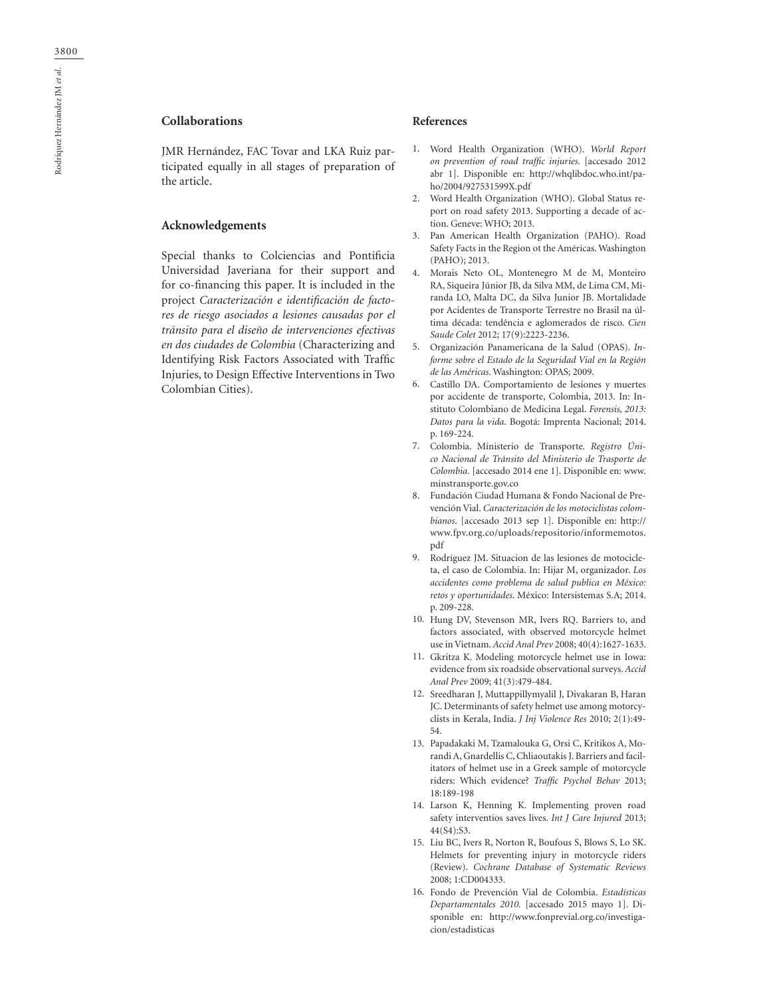# **Collaborations**

JMR Hernández, FAC Tovar and LKA Ruiz participated equally in all stages of preparation of the article.

### **Acknowledgements**

Special thanks to Colciencias and Pontificia Universidad Javeriana for their support and for co-financing this paper. It is included in the project *Caracterización e identificación de factores de riesgo asociados a lesiones causadas por el tránsito para el diseño de intervenciones efectivas en dos ciudades de Colombia* (Characterizing and Identifying Risk Factors Associated with Traffic Injuries, to Design Effective Interventions in Two Colombian Cities).

### **References**

- Word Health Organization (WHO). *World Report*  1. *on prevention of road traffic injuries*. [accesado 2012 abr 1]. Disponible en: http://whqlibdoc.who.int/paho/2004/927531599X.pdf
- Word Health Organization (WHO). Global Status re-2. port on road safety 2013. Supporting a decade of action. Geneve: WHO; 2013.
- Pan American Health Organization (PAHO). Road 3. Safety Facts in the Region ot the Américas. Washington (PAHO); 2013.
- Morais Neto OL, Montenegro M de M, Monteiro RA, Siqueira Júnior JB, da Silva MM, de Lima CM, Miranda LO, Malta DC, da Silva Junior JB. Mortalidade por Acidentes de Transporte Terrestre no Brasil na última década: tendência e aglomerados de risco. *Cien Saude Colet* 2012; 17(9):2223-2236. 4.
- Organización Panamericana de la Salud (OPAS). *Informe sobre el Estado de la Seguridad Vial en la Región de las Américas*. Washington: OPAS; 2009. 5.
- Castillo DA. Comportamiento de lesiones y muertes 6. por accidente de transporte, Colombia, 2013. In: Instituto Colombiano de Medicina Legal. *Forensis, 2013: Datos para la vida*. Bogotá: Imprenta Nacional; 2014. p. 169-224.
- Colombia. Ministerio de Transporte*. Registro Úni-*7. *co Nacional de Tránsito del Ministerio de Trasporte de Colombia*. [accesado 2014 ene 1]. Disponible en: www. minstransporte.gov.co
- Fundación Ciudad Humana & Fondo Nacional de Pre-8. vención Vial. *Caracterización de los motociclistas colombianos*. [accesado 2013 sep 1]. Disponible en: http:// www.fpv.org.co/uploads/repositorio/informemotos. pdf
- Rodríguez JM. Situacion de las lesiones de motocicle-9. ta, el caso de Colombia. In: Hijar M, organizador. *Los accidentes como problema de salud publica en México: retos y oportunidades*. México: Intersistemas S.A; 2014. p. 209-228.
- 10. Hung DV, Stevenson MR, Ivers RQ. Barriers to, and factors associated, with observed motorcycle helmet use in Vietnam. *Accid Anal Prev* 2008; 40(4):1627-1633.
- 11. Gkritza K. Modeling motorcycle helmet use in Iowa: evidence from six roadside observational surveys. *Accid Anal Prev* 2009; 41(3):479-484.
- 12. Sreedharan J, Muttappillymyalil J, Divakaran B, Haran JC. Determinants of safety helmet use among motorcyclists in Kerala, India. *J Inj Violence Res* 2010; 2(1):49- 54.
- Papadakaki M, Tzamalouka G, Orsi C, Kritikos A, Mo-13. randi A, Gnardellis C, Chliaoutakis J. Barriers and facilitators of helmet use in a Greek sample of motorcycle riders: Which evidence? *Traffic Psychol Behav* 2013; 18:189-198
- 14. Larson K, Henning K. Implementing proven road safety interventios saves lives. *Int J Care Injured* 2013; 44(S4):S3.
- 15. Liu BC, Ivers R, Norton R, Boufous S, Blows S, Lo SK. Helmets for preventing injury in motorcycle riders (Review). *Cochrane Database of Systematic Reviews* 2008; 1:CD004333.
- Fondo de Prevención Vial de Colombia. *Estadísticas*  16. *Departamentales 2010.* [accesado 2015 mayo 1]. Disponible en: http://www.fonprevial.org.co/investigacion/estadisticas